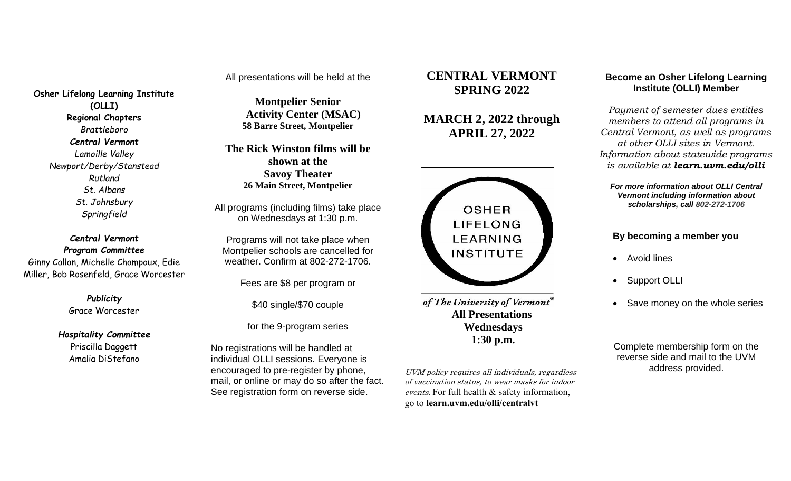All presentations will be held at the

**Osher Lifelong Learning Institute (OLLI) Regional Chapters** *Brattleboro Central Vermont Lamoille Valley Newport/Derby/Stanstead Rutland St. Albans St. Johnsbury Springfield*

*Central Vermont Program Committee* Ginny Callan, Michelle Champoux, Edie Miller, Bob Rosenfeld, Grace Worcester

> *Publicity* Grace Worcester

*Hospitality Committee* Priscilla Daggett Amalia DiStefano

**Montpelier Senior Activity Center (MSAC) 58 Barre Street, Montpelier**

**The Rick Winston films will be shown at the Savoy Theater 26 Main Street, Montpelier**

All programs (including films) take place on Wednesdays at 1:30 p.m.

Programs will not take place when Montpelier schools are cancelled for weather. Confirm at 802-272-1706.

Fees are \$8 per program or

\$40 single/\$70 couple

for the 9-program series

No registrations will be handled at individual OLLI sessions. Everyone is encouraged to pre-register by phone, mail, or online or may do so after the fact. See registration form on reverse side.

# **CENTRAL VERMONT SPRING 2022**

**MARCH 2, 2022 through APRIL 27, 2022**



of The University of Vermont® **All Presentations Wednesdays 1:30 p.m.**

UVM policy requires all individuals, regardless of vaccination status, to wear masks for indoor events. For full health & safety information, go to **learn.uvm.edu/olli/centralvt**

# **Become an Osher Lifelong Learning Institute (OLLI) Member**

*Payment of semester dues entitles members to attend all programs in Central Vermont, as well as programs at other OLLI sites in Vermont. Information about statewide programs is available at learn.uvm.edu/olli*

*For more information about OLLI Central Vermont including information about scholarships, call 802-272-1706*

## **By becoming a member you**

- Avoid lines
- Support OLLI
- Save money on the whole series

Complete membership form on the reverse side and mail to the UVM address provided.